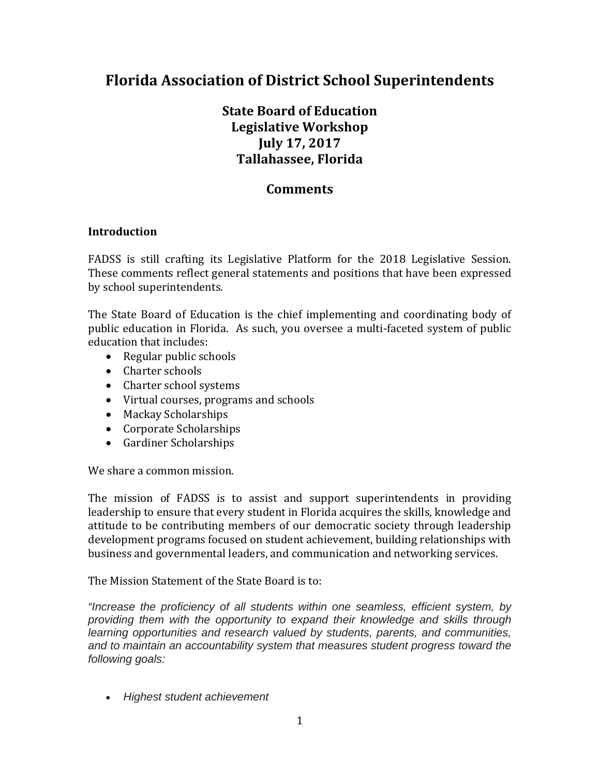# **Florida Association of District School Superintendents**

## **State Board of Education Legislative Workshop July 17, 2017 Tallahassee, Florida**

## **Comments**

#### **Introduction**

FADSS is still crafting its Legislative Platform for the 2018 Legislative Session. These comments reflect general statements and positions that have been expressed by school superintendents.

public education in Florida. As such, you oversee a multi-faceted system of public The State Board of Education is the chief implementing and coordinating body of education that includes:

- $\bullet$  Regular public schools
- Charter schools
- Charter school systems
- Virtual courses, programs and schools
- Mackay Scholarships
- Corporate Scholarships
- Gardiner Scholarships

We share a common mission.

The mission of FADSS is to assist and support superintendents in providing leadership to ensure that every student in Florida acquires the skills, knowledge and attitude to be contributing members of our democratic society through leadership development programs focused on student achievement, building relationships with business and governmental leaders, and communication and networking services.

The Mission Statement of the State Board is to:

*"Increase the proficiency of all students within one seamless, efficient system, by providing them with the opportunity to expand their knowledge and skills through learning opportunities and research valued by students, parents, and communities, and to maintain an accountability system that measures student progress toward the following goals:* 

*Highest student achievement*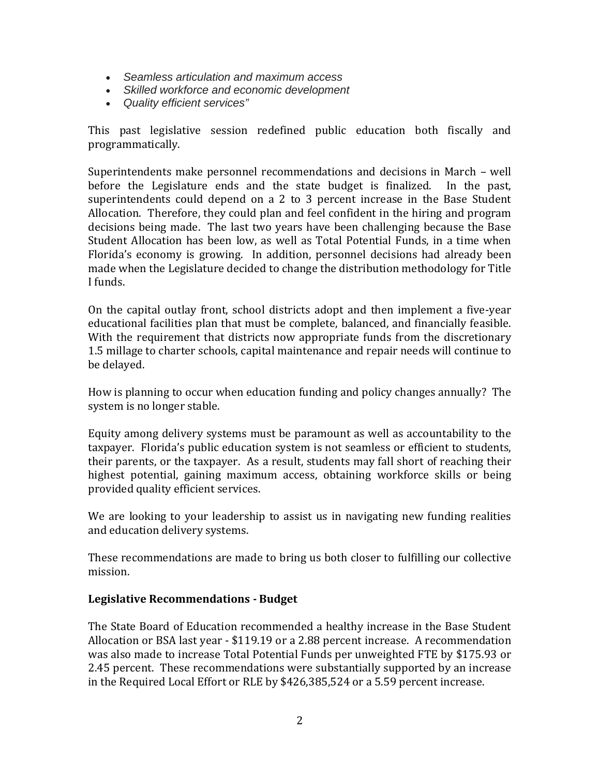- *Seamless articulation and maximum access*
- *Skilled workforce and economic development*
- *Quality efficient services"*

This past legislative session redefined public education both fiscally and programmatically. 

In the past. superintendents could depend on a 2 to 3 percent increase in the Base Student decisions being made. The last two years have been challenging because the Base Student Allocation has been low, as well as Total Potential Funds, in a time when Superintendents make personnel recommendations and decisions in March – well before the Legislature ends and the state budget is finalized. Allocation. Therefore, they could plan and feel confident in the hiring and program Florida's economy is growing. In addition, personnel decisions had already been made when the Legislature decided to change the distribution methodology for Title I funds.

On the capital outlay front, school districts adopt and then implement a five-year educational facilities plan that must be complete, balanced, and financially feasible. With the requirement that districts now appropriate funds from the discretionary 1.5 millage to charter schools, capital maintenance and repair needs will continue to be delayed.

How is planning to occur when education funding and policy changes annually? The system is no longer stable.

their parents, or the taxpayer. As a result, students may fall short of reaching their Equity among delivery systems must be paramount as well as accountability to the taxpayer. Florida's public education system is not seamless or efficient to students, highest potential, gaining maximum access, obtaining workforce skills or being provided quality efficient services.

We are looking to your leadership to assist us in navigating new funding realities and education delivery systems.

These recommendations are made to bring us both closer to fulfilling our collective mission. 

#### **Legislative Recommendations ‐ Budget**

Allocation or BSA last year - \$119.19 or a 2.88 percent increase. A recommendation The State Board of Education recommended a healthy increase in the Base Student was also made to increase Total Potential Funds per unweighted FTE by \$175.93 or 2.45 percent. These recommendations were substantially supported by an increase in the Required Local Effort or RLE by \$426,385,524 or a 5.59 percent increase.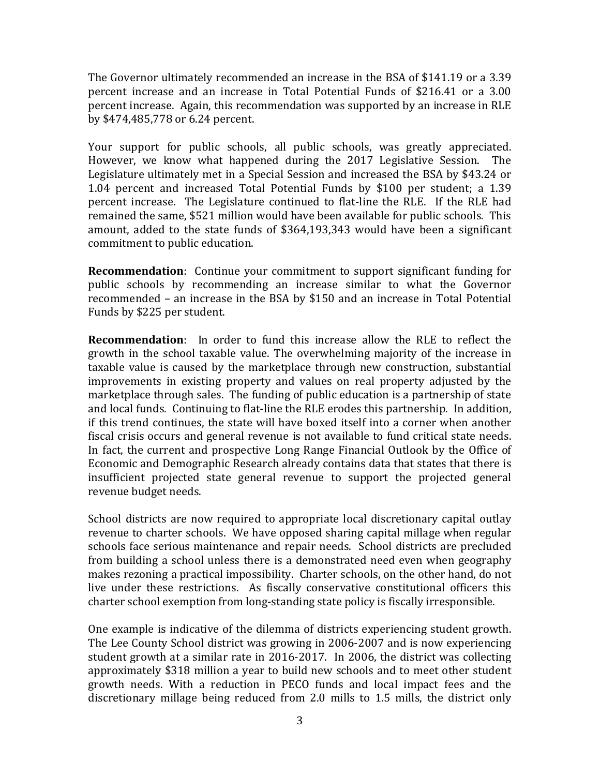percent increase and an increase in Total Potential Funds of \$216.41 or a 3.00 percent increase. Again, this recommendation was supported by an increase in RLE The Governor ultimately recommended an increase in the BSA of \$141.19 or a 3.39 by \$474,485,778 or 6.24 percent. 

Your support for public schools, all public schools, was greatly appreciated. Legislature ultimately met in a Special Session and increased the BSA by \$43.24 or percent increase. The Legislature continued to flat-line the RLE. If the RLE had However, we know what happened during the 2017 Legislative Session. The 1.04 percent and increased Total Potential Funds by \$100 per student; a 1.39 remained the same, \$521 million would have been available for public schools. This amount, added to the state funds of \$364,193,343 would have been a significant commitment to public education.

public schools by recommending an increase similar to what the Governor **Recommendation**: Continue your commitment to support significant funding for recommended – an increase in the BSA by \$150 and an increase in Total Potential Funds by \$225 per student.

**Recommendation**: In order to fund this increase allow the RLE to reflect the growth in the school taxable value. The overwhelming majority of the increase in taxable value is caused by the marketplace through new construction, substantial marketplace through sales. The funding of public education is a partnership of state fiscal crisis occurs and general revenue is not available to fund critical state needs. In fact, the current and prospective Long Range Financial Outlook by the Office of improvements in existing property and values on real property adjusted by the and local funds. Continuing to flat-line the RLE erodes this partnership. In addition, if this trend continues, the state will have boxed itself into a corner when another Economic and Demographic Research already contains data that states that there is insufficient projected state general revenue to support the projected general revenue budget needs.

School districts are now required to appropriate local discretionary capital outlay from building a school unless there is a demonstrated need even when geography revenue to charter schools. We have opposed sharing capital millage when regular schools face serious maintenance and repair needs. School districts are precluded makes rezoning a practical impossibility. Charter schools, on the other hand, do not live under these restrictions. As fiscally conservative constitutional officers this charter school exemption from long-standing state policy is fiscally irresponsible.

student growth at a similar rate in 2016-2017. In 2006, the district was collecting discretionary millage being reduced from 2.0 mills to 1.5 mills, the district only One example is indicative of the dilemma of districts experiencing student growth. The Lee County School district was growing in 2006-2007 and is now experiencing approximately \$318 million a year to build new schools and to meet other student growth needs. With a reduction in PECO funds and local impact fees and the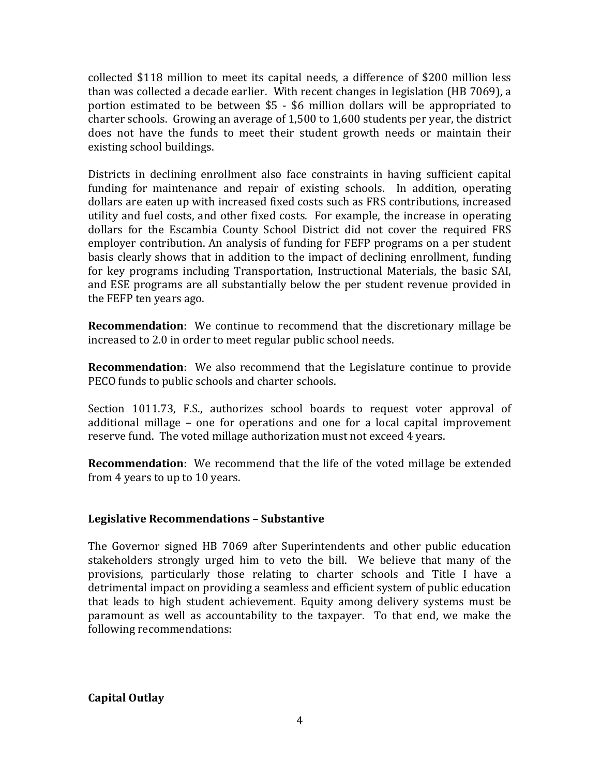collected \$118 million to meet its capital needs, a difference of \$200 million less than was collected a decade earlier. With recent changes in legislation (HB 7069), a portion estimated to be between \$5 - \$6 million dollars will be appropriated to charter schools. Growing an average of  $1,500$  to  $1,600$  students per year, the district does not have the funds to meet their student growth needs or maintain their existing school buildings.

funding for maintenance and repair of existing schools. In addition, operating dollars are eaten up with increased fixed costs such as FRS contributions, increased dollars for the Escambia County School District did not cover the required FRS employer contribution. An analysis of funding for FEFP programs on a per student and ESE programs are all substantially below the per student revenue provided in Districts in declining enrollment also face constraints in having sufficient capital utility and fuel costs, and other fixed costs. For example, the increase in operating basis clearly shows that in addition to the impact of declining enrollment, funding for key programs including Transportation, Instructional Materials, the basic SAI, the FEFP ten years ago.

**Recommendation:** We continue to recommend that the discretionary millage be increased to 2.0 in order to meet regular public school needs.

**Recommendation**: We also recommend that the Legislature continue to provide PECO funds to public schools and charter schools.

additional millage - one for operations and one for a local capital improvement Section 1011.73, F.S., authorizes school boards to request voter approval of reserve fund. The voted millage authorization must not exceed 4 years.

**Recommendation**: We recommend that the life of the voted millage be extended from 4 years to up to 10 years.

#### **Legislative Recommendations – Substantive**

provisions, particularly those relating to charter schools and Title I have a that leads to high student achievement. Equity among delivery systems must be paramount as well as accountability to the taxpayer. To that end, we make the The Governor signed HB 7069 after Superintendents and other public education stakeholders strongly urged him to veto the bill. We believe that many of the detrimental impact on providing a seamless and efficient system of public education following recommendations:

 **Capital Outlay**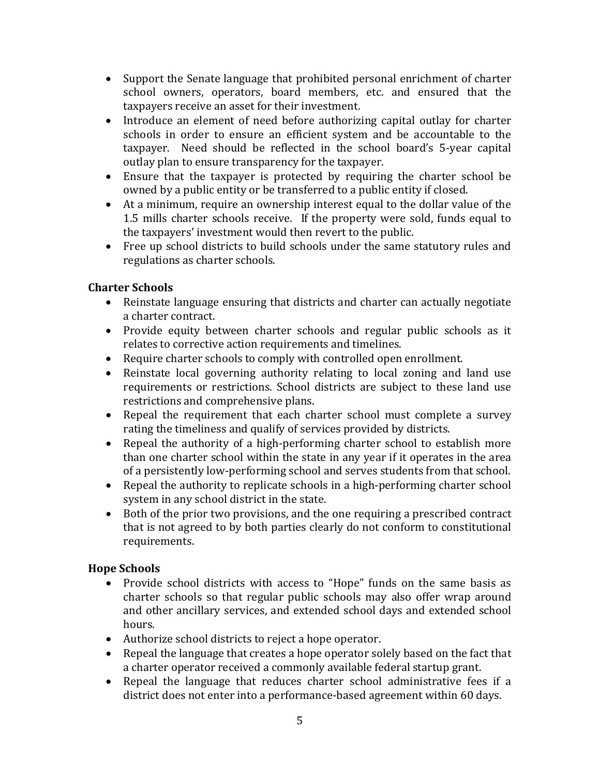- Support the Senate language that prohibited personal enrichment of charter school owners, operators, board members, etc. and ensured that the taxpayers receive an asset for their investment.
- Introduce an element of need before authorizing capital outlay for charter schools in order to ensure an efficient system and be accountable to the taxpayer. Need should be reflected in the school board's 5-year capital outlay plan to ensure transparency for the taxpayer.
- Ensure that the taxpayer is protected by requiring the charter school be owned by a public entity or be transferred to a public entity if closed.
- At a minimum, require an ownership interest equal to the dollar value of the 1.5 mills charter schools receive. If the property were sold, funds equal to the taxpayers' investment would then revert to the public.
- Free up school districts to build schools under the same statutory rules and regulations as charter schools.

## **Charter Schools**

- Reinstate language ensuring that districts and charter can actually negotiate a charter contract.
- Provide equity between charter schools and regular public schools as it relates to corrective action requirements and timelines.
- Require charter schools to comply with controlled open enrollment.
- Reinstate local governing authority relating to local zoning and land use requirements or restrictions. School districts are subject to these land use restrictions and comprehensive plans.
- Repeal the requirement that each charter school must complete a survey rating the timeliness and qualify of services provided by districts.
- Repeal the authority of a high-performing charter school to establish more than one charter school within the state in any year if it operates in the area of a persistently low-performing school and serves students from that school.
- Repeal the authority to replicate schools in a high-performing charter school system in any school district in the state.
- that is not agreed to by both parties clearly do not conform to constitutional • Both of the prior two provisions, and the one requiring a prescribed contract requirements.

### **Hope Schools**

- charter schools so that regular public schools may also offer wrap around and other ancillary services, and extended school days and extended school • Provide school districts with access to "Hope" funds on the same basis as hours.
- Authorize school districts to reject a hope operator.
- Repeal the language that creates a hope operator solely based on the fact that a charter operator received a commonly available federal startup grant.
- Repeal the language that reduces charter school administrative fees if a district does not enter into a performance-based agreement within 60 days.